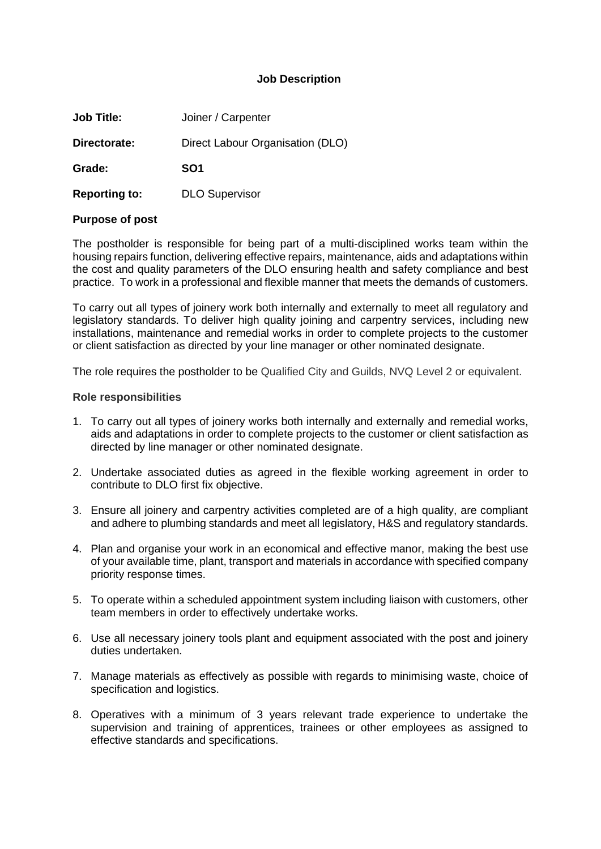## **Job Description**

| <b>Job Title:</b>    | Joiner / Carpenter               |  |  |
|----------------------|----------------------------------|--|--|
| Directorate:         | Direct Labour Organisation (DLO) |  |  |
| Grade:               | SO <sub>1</sub>                  |  |  |
| <b>Reporting to:</b> | <b>DLO Supervisor</b>            |  |  |

## **Purpose of post**

The postholder is responsible for being part of a multi-disciplined works team within the housing repairs function, delivering effective repairs, maintenance, aids and adaptations within the cost and quality parameters of the DLO ensuring health and safety compliance and best practice. To work in a professional and flexible manner that meets the demands of customers.

To carry out all types of joinery work both internally and externally to meet all regulatory and legislatory standards. To deliver high quality joining and carpentry services, including new installations, maintenance and remedial works in order to complete projects to the customer or client satisfaction as directed by your line manager or other nominated designate.

The role requires the postholder to be Qualified City and Guilds, NVQ Level 2 or equivalent.

#### **Role responsibilities**

- 1. To carry out all types of joinery works both internally and externally and remedial works, aids and adaptations in order to complete projects to the customer or client satisfaction as directed by line manager or other nominated designate.
- 2. Undertake associated duties as agreed in the flexible working agreement in order to contribute to DLO first fix objective.
- 3. Ensure all joinery and carpentry activities completed are of a high quality, are compliant and adhere to plumbing standards and meet all legislatory, H&S and regulatory standards.
- 4. Plan and organise your work in an economical and effective manor, making the best use of your available time, plant, transport and materials in accordance with specified company priority response times.
- 5. To operate within a scheduled appointment system including liaison with customers, other team members in order to effectively undertake works.
- 6. Use all necessary joinery tools plant and equipment associated with the post and joinery duties undertaken.
- 7. Manage materials as effectively as possible with regards to minimising waste, choice of specification and logistics.
- 8. Operatives with a minimum of 3 years relevant trade experience to undertake the supervision and training of apprentices, trainees or other employees as assigned to effective standards and specifications.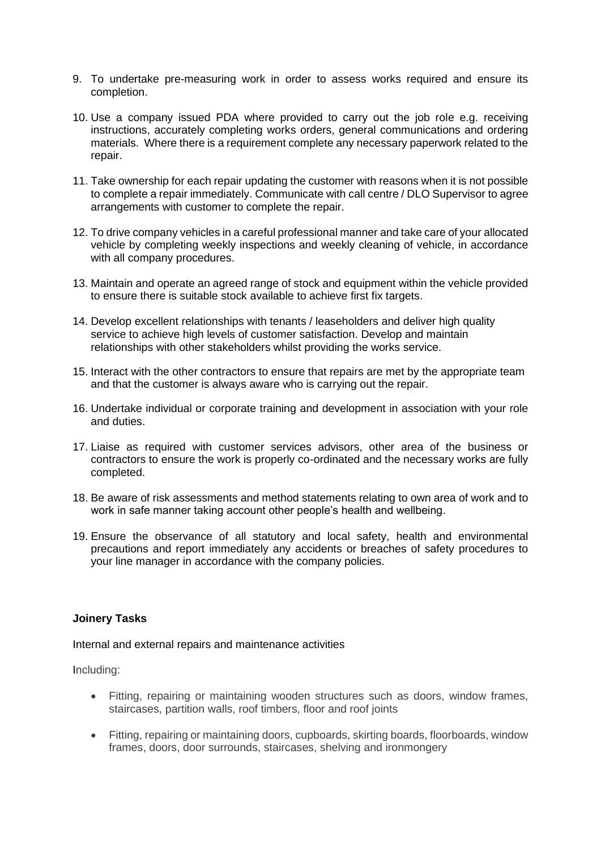- 9. To undertake pre-measuring work in order to assess works required and ensure its completion.
- 10. Use a company issued PDA where provided to carry out the job role e.g. receiving instructions, accurately completing works orders, general communications and ordering materials. Where there is a requirement complete any necessary paperwork related to the repair.
- 11. Take ownership for each repair updating the customer with reasons when it is not possible to complete a repair immediately. Communicate with call centre / DLO Supervisor to agree arrangements with customer to complete the repair.
- 12. To drive company vehicles in a careful professional manner and take care of your allocated vehicle by completing weekly inspections and weekly cleaning of vehicle, in accordance with all company procedures.
- 13. Maintain and operate an agreed range of stock and equipment within the vehicle provided to ensure there is suitable stock available to achieve first fix targets.
- 14. Develop excellent relationships with tenants / leaseholders and deliver high quality service to achieve high levels of customer satisfaction. Develop and maintain relationships with other stakeholders whilst providing the works service.
- 15. Interact with the other contractors to ensure that repairs are met by the appropriate team and that the customer is always aware who is carrying out the repair.
- 16. Undertake individual or corporate training and development in association with your role and duties.
- 17. Liaise as required with customer services advisors, other area of the business or contractors to ensure the work is properly co-ordinated and the necessary works are fully completed.
- 18. Be aware of risk assessments and method statements relating to own area of work and to work in safe manner taking account other people's health and wellbeing.
- 19. Ensure the observance of all statutory and local safety, health and environmental precautions and report immediately any accidents or breaches of safety procedures to your line manager in accordance with the company policies.

# **Joinery Tasks**

### Internal and external repairs and maintenance activities

Including:

- Fitting, repairing or maintaining wooden structures such as doors, window frames, staircases, partition walls, roof timbers, floor and roof joints
- Fitting, repairing or maintaining doors, cupboards, skirting boards, floorboards, window frames, doors, door surrounds, staircases, shelving and ironmongery